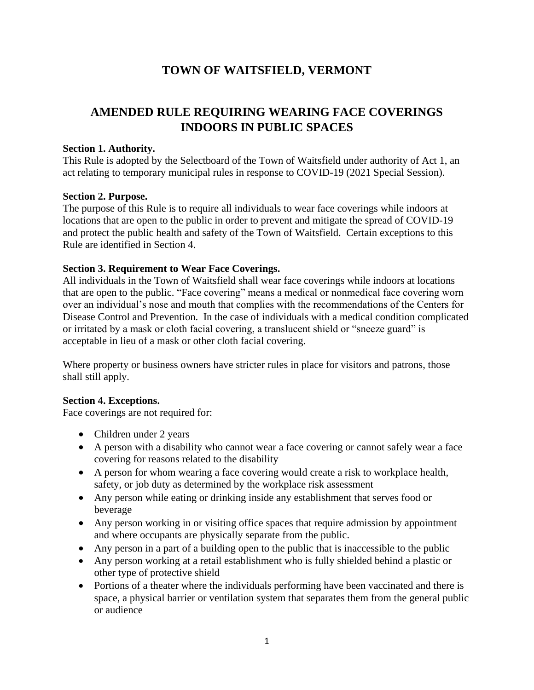## **TOWN OF WAITSFIELD, VERMONT**

# **AMENDED RULE REQUIRING WEARING FACE COVERINGS INDOORS IN PUBLIC SPACES**

## **Section 1. Authority.**

This Rule is adopted by the Selectboard of the Town of Waitsfield under authority of Act 1, an act relating to temporary municipal rules in response to COVID-19 (2021 Special Session).

## **Section 2. Purpose.**

The purpose of this Rule is to require all individuals to wear face coverings while indoors at locations that are open to the public in order to prevent and mitigate the spread of COVID-19 and protect the public health and safety of the Town of Waitsfield. Certain exceptions to this Rule are identified in Section 4.

## **Section 3. Requirement to Wear Face Coverings.**

All individuals in the Town of Waitsfield shall wear face coverings while indoors at locations that are open to the public. "Face covering" means a medical or nonmedical face covering worn over an individual's nose and mouth that complies with the recommendations of the Centers for Disease Control and Prevention. In the case of individuals with a medical condition complicated or irritated by a mask or cloth facial covering, a translucent shield or "sneeze guard" is acceptable in lieu of a mask or other cloth facial covering.

Where property or business owners have stricter rules in place for visitors and patrons, those shall still apply.

#### **Section 4. Exceptions.**

Face coverings are not required for:

- Children under 2 years
- A person with a disability who cannot wear a face covering or cannot safely wear a face covering for reasons related to the disability
- A person for whom wearing a face covering would create a risk to workplace health, safety, or job duty as determined by the workplace risk assessment
- Any person while eating or drinking inside any establishment that serves food or beverage
- Any person working in or visiting office spaces that require admission by appointment and where occupants are physically separate from the public.
- Any person in a part of a building open to the public that is inaccessible to the public
- Any person working at a retail establishment who is fully shielded behind a plastic or other type of protective shield
- Portions of a theater where the individuals performing have been vaccinated and there is space, a physical barrier or ventilation system that separates them from the general public or audience